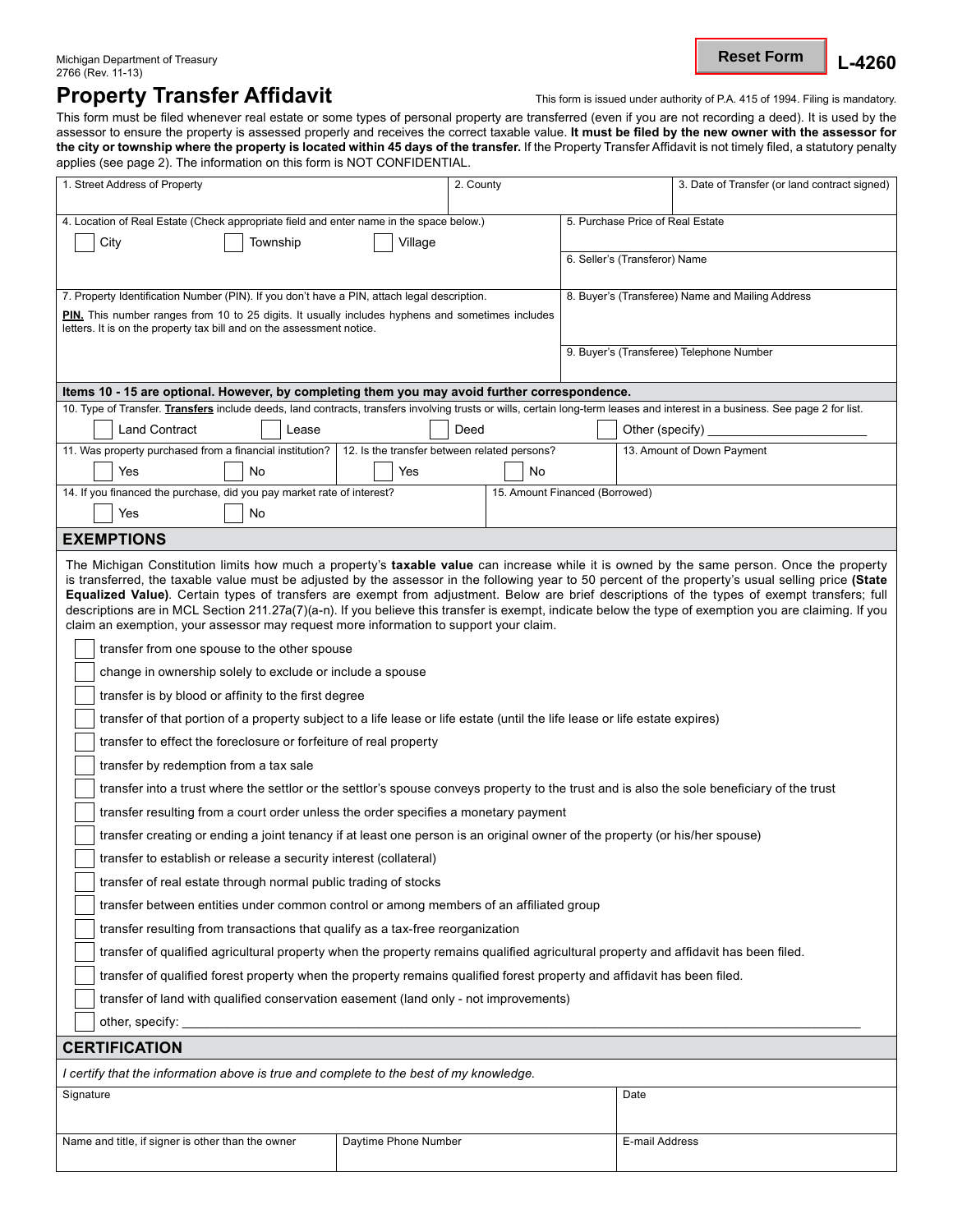Michigan Department of Treasury **L**<br>2766 (Rev. 11-13) **L-4260 Reset Form**

## **Property Transfer Affidavit** This form is issued under authority of P.A. 415 of 1994. Filing is mandatory.

This form must be filed whenever real estate or some types of personal property are transferred (even if you are not recording a deed). It is used by the assessor to ensure the property is assessed properly and receives the correct taxable value. **It must be filed by the new owner with the assessor for the city or township where the property is located within 45 days of the transfer.** If the Property Transfer Affidavit is not timely filed, a statutory penalty applies (see page 2). The information on this form is NOT CONFIDENTIAL.

| 1. Street Address of Property                                                                                                                                                                                                                                                                                                                                                                                                                                                                                                                                                                                                                                                                                                                                                                                                                                                                                                                                                                                                                                                                                                                                                                                                                                                                                                                                                                                                                                                                                                                                                                                                                                                                                                                                                                                                                                                                                                                                                                                                                                                     |                                              | 2. County |                                          |                                                  | 3. Date of Transfer (or land contract signed) |  |
|-----------------------------------------------------------------------------------------------------------------------------------------------------------------------------------------------------------------------------------------------------------------------------------------------------------------------------------------------------------------------------------------------------------------------------------------------------------------------------------------------------------------------------------------------------------------------------------------------------------------------------------------------------------------------------------------------------------------------------------------------------------------------------------------------------------------------------------------------------------------------------------------------------------------------------------------------------------------------------------------------------------------------------------------------------------------------------------------------------------------------------------------------------------------------------------------------------------------------------------------------------------------------------------------------------------------------------------------------------------------------------------------------------------------------------------------------------------------------------------------------------------------------------------------------------------------------------------------------------------------------------------------------------------------------------------------------------------------------------------------------------------------------------------------------------------------------------------------------------------------------------------------------------------------------------------------------------------------------------------------------------------------------------------------------------------------------------------|----------------------------------------------|-----------|------------------------------------------|--------------------------------------------------|-----------------------------------------------|--|
|                                                                                                                                                                                                                                                                                                                                                                                                                                                                                                                                                                                                                                                                                                                                                                                                                                                                                                                                                                                                                                                                                                                                                                                                                                                                                                                                                                                                                                                                                                                                                                                                                                                                                                                                                                                                                                                                                                                                                                                                                                                                                   |                                              |           |                                          |                                                  | 5. Purchase Price of Real Estate              |  |
| 4. Location of Real Estate (Check appropriate field and enter name in the space below.)                                                                                                                                                                                                                                                                                                                                                                                                                                                                                                                                                                                                                                                                                                                                                                                                                                                                                                                                                                                                                                                                                                                                                                                                                                                                                                                                                                                                                                                                                                                                                                                                                                                                                                                                                                                                                                                                                                                                                                                           |                                              |           |                                          |                                                  |                                               |  |
| City<br>Township                                                                                                                                                                                                                                                                                                                                                                                                                                                                                                                                                                                                                                                                                                                                                                                                                                                                                                                                                                                                                                                                                                                                                                                                                                                                                                                                                                                                                                                                                                                                                                                                                                                                                                                                                                                                                                                                                                                                                                                                                                                                  | Village                                      |           |                                          | 6. Seller's (Transferor) Name                    |                                               |  |
|                                                                                                                                                                                                                                                                                                                                                                                                                                                                                                                                                                                                                                                                                                                                                                                                                                                                                                                                                                                                                                                                                                                                                                                                                                                                                                                                                                                                                                                                                                                                                                                                                                                                                                                                                                                                                                                                                                                                                                                                                                                                                   |                                              |           |                                          |                                                  |                                               |  |
| 7. Property Identification Number (PIN). If you don't have a PIN, attach legal description.                                                                                                                                                                                                                                                                                                                                                                                                                                                                                                                                                                                                                                                                                                                                                                                                                                                                                                                                                                                                                                                                                                                                                                                                                                                                                                                                                                                                                                                                                                                                                                                                                                                                                                                                                                                                                                                                                                                                                                                       |                                              |           |                                          | 8. Buyer's (Transferee) Name and Mailing Address |                                               |  |
| PIN. This number ranges from 10 to 25 digits. It usually includes hyphens and sometimes includes<br>letters. It is on the property tax bill and on the assessment notice.                                                                                                                                                                                                                                                                                                                                                                                                                                                                                                                                                                                                                                                                                                                                                                                                                                                                                                                                                                                                                                                                                                                                                                                                                                                                                                                                                                                                                                                                                                                                                                                                                                                                                                                                                                                                                                                                                                         |                                              |           |                                          |                                                  |                                               |  |
|                                                                                                                                                                                                                                                                                                                                                                                                                                                                                                                                                                                                                                                                                                                                                                                                                                                                                                                                                                                                                                                                                                                                                                                                                                                                                                                                                                                                                                                                                                                                                                                                                                                                                                                                                                                                                                                                                                                                                                                                                                                                                   |                                              |           | 9. Buyer's (Transferee) Telephone Number |                                                  |                                               |  |
| Items 10 - 15 are optional. However, by completing them you may avoid further correspondence.                                                                                                                                                                                                                                                                                                                                                                                                                                                                                                                                                                                                                                                                                                                                                                                                                                                                                                                                                                                                                                                                                                                                                                                                                                                                                                                                                                                                                                                                                                                                                                                                                                                                                                                                                                                                                                                                                                                                                                                     |                                              |           |                                          |                                                  |                                               |  |
| 10. Type of Transfer. Transfers include deeds, land contracts, transfers involving trusts or wills, certain long-term leases and interest in a business. See page 2 for list.                                                                                                                                                                                                                                                                                                                                                                                                                                                                                                                                                                                                                                                                                                                                                                                                                                                                                                                                                                                                                                                                                                                                                                                                                                                                                                                                                                                                                                                                                                                                                                                                                                                                                                                                                                                                                                                                                                     |                                              |           |                                          |                                                  |                                               |  |
| <b>Land Contract</b><br>Deed<br>Lease                                                                                                                                                                                                                                                                                                                                                                                                                                                                                                                                                                                                                                                                                                                                                                                                                                                                                                                                                                                                                                                                                                                                                                                                                                                                                                                                                                                                                                                                                                                                                                                                                                                                                                                                                                                                                                                                                                                                                                                                                                             |                                              |           |                                          | Other (specify)                                  |                                               |  |
| 11. Was property purchased from a financial institution?                                                                                                                                                                                                                                                                                                                                                                                                                                                                                                                                                                                                                                                                                                                                                                                                                                                                                                                                                                                                                                                                                                                                                                                                                                                                                                                                                                                                                                                                                                                                                                                                                                                                                                                                                                                                                                                                                                                                                                                                                          | 12. Is the transfer between related persons? |           |                                          |                                                  | 13. Amount of Down Payment                    |  |
| Yes<br>No                                                                                                                                                                                                                                                                                                                                                                                                                                                                                                                                                                                                                                                                                                                                                                                                                                                                                                                                                                                                                                                                                                                                                                                                                                                                                                                                                                                                                                                                                                                                                                                                                                                                                                                                                                                                                                                                                                                                                                                                                                                                         | Yes                                          |           | No                                       |                                                  |                                               |  |
| 14. If you financed the purchase, did you pay market rate of interest?                                                                                                                                                                                                                                                                                                                                                                                                                                                                                                                                                                                                                                                                                                                                                                                                                                                                                                                                                                                                                                                                                                                                                                                                                                                                                                                                                                                                                                                                                                                                                                                                                                                                                                                                                                                                                                                                                                                                                                                                            |                                              |           |                                          | 15. Amount Financed (Borrowed)                   |                                               |  |
| Yes<br>No                                                                                                                                                                                                                                                                                                                                                                                                                                                                                                                                                                                                                                                                                                                                                                                                                                                                                                                                                                                                                                                                                                                                                                                                                                                                                                                                                                                                                                                                                                                                                                                                                                                                                                                                                                                                                                                                                                                                                                                                                                                                         |                                              |           |                                          |                                                  |                                               |  |
| <b>EXEMPTIONS</b>                                                                                                                                                                                                                                                                                                                                                                                                                                                                                                                                                                                                                                                                                                                                                                                                                                                                                                                                                                                                                                                                                                                                                                                                                                                                                                                                                                                                                                                                                                                                                                                                                                                                                                                                                                                                                                                                                                                                                                                                                                                                 |                                              |           |                                          |                                                  |                                               |  |
| The Michigan Constitution limits how much a property's taxable value can increase while it is owned by the same person. Once the property<br>is transferred, the taxable value must be adjusted by the assessor in the following year to 50 percent of the property's usual selling price (State<br>Equalized Value). Certain types of transfers are exempt from adjustment. Below are brief descriptions of the types of exempt transfers; full<br>descriptions are in MCL Section 211.27a(7)(a-n). If you believe this transfer is exempt, indicate below the type of exemption you are claiming. If you<br>claim an exemption, your assessor may request more information to support your claim.<br>transfer from one spouse to the other spouse<br>change in ownership solely to exclude or include a spouse<br>transfer is by blood or affinity to the first degree<br>transfer of that portion of a property subject to a life lease or life estate (until the life lease or life estate expires)<br>transfer to effect the foreclosure or forfeiture of real property<br>transfer by redemption from a tax sale<br>transfer into a trust where the settlor or the settlor's spouse conveys property to the trust and is also the sole beneficiary of the trust<br>transfer resulting from a court order unless the order specifies a monetary payment<br>transfer creating or ending a joint tenancy if at least one person is an original owner of the property (or his/her spouse)<br>transfer to establish or release a security interest (collateral)<br>transfer of real estate through normal public trading of stocks<br>transfer between entities under common control or among members of an affiliated group<br>transfer resulting from transactions that qualify as a tax-free reorganization<br>transfer of qualified agricultural property when the property remains qualified agricultural property and affidavit has been filed.<br>transfer of qualified forest property when the property remains qualified forest property and affidavit has been filed. |                                              |           |                                          |                                                  |                                               |  |
| transfer of land with qualified conservation easement (land only - not improvements)                                                                                                                                                                                                                                                                                                                                                                                                                                                                                                                                                                                                                                                                                                                                                                                                                                                                                                                                                                                                                                                                                                                                                                                                                                                                                                                                                                                                                                                                                                                                                                                                                                                                                                                                                                                                                                                                                                                                                                                              |                                              |           |                                          |                                                  |                                               |  |
| other, specify: example and a series of the series of the series of the series of the series of the series of the series of the series of the series of the series of the series of the series of the series of the series of                                                                                                                                                                                                                                                                                                                                                                                                                                                                                                                                                                                                                                                                                                                                                                                                                                                                                                                                                                                                                                                                                                                                                                                                                                                                                                                                                                                                                                                                                                                                                                                                                                                                                                                                                                                                                                                     |                                              |           |                                          |                                                  |                                               |  |
| <b>CERTIFICATION</b>                                                                                                                                                                                                                                                                                                                                                                                                                                                                                                                                                                                                                                                                                                                                                                                                                                                                                                                                                                                                                                                                                                                                                                                                                                                                                                                                                                                                                                                                                                                                                                                                                                                                                                                                                                                                                                                                                                                                                                                                                                                              |                                              |           |                                          |                                                  |                                               |  |
|                                                                                                                                                                                                                                                                                                                                                                                                                                                                                                                                                                                                                                                                                                                                                                                                                                                                                                                                                                                                                                                                                                                                                                                                                                                                                                                                                                                                                                                                                                                                                                                                                                                                                                                                                                                                                                                                                                                                                                                                                                                                                   |                                              |           |                                          |                                                  |                                               |  |
| I certify that the information above is true and complete to the best of my knowledge.                                                                                                                                                                                                                                                                                                                                                                                                                                                                                                                                                                                                                                                                                                                                                                                                                                                                                                                                                                                                                                                                                                                                                                                                                                                                                                                                                                                                                                                                                                                                                                                                                                                                                                                                                                                                                                                                                                                                                                                            |                                              |           |                                          |                                                  |                                               |  |
| Signature                                                                                                                                                                                                                                                                                                                                                                                                                                                                                                                                                                                                                                                                                                                                                                                                                                                                                                                                                                                                                                                                                                                                                                                                                                                                                                                                                                                                                                                                                                                                                                                                                                                                                                                                                                                                                                                                                                                                                                                                                                                                         |                                              |           |                                          |                                                  | Date                                          |  |
| Name and title, if signer is other than the owner                                                                                                                                                                                                                                                                                                                                                                                                                                                                                                                                                                                                                                                                                                                                                                                                                                                                                                                                                                                                                                                                                                                                                                                                                                                                                                                                                                                                                                                                                                                                                                                                                                                                                                                                                                                                                                                                                                                                                                                                                                 | Daytime Phone Number                         |           |                                          |                                                  | E-mail Address                                |  |